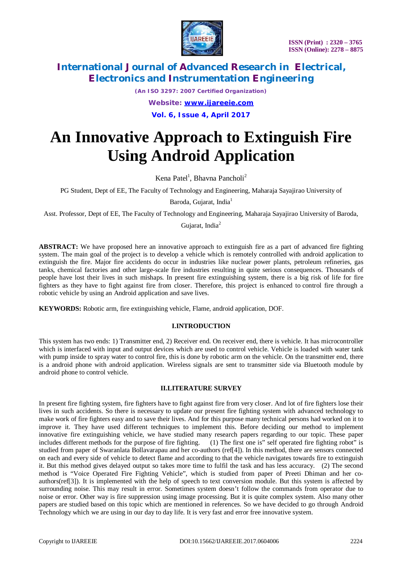

*(An ISO 3297: 2007 Certified Organization)*

*Website: [www.ijareeie.com](http://www.ijareeie.com)*

**Vol. 6, Issue 4, April 2017**

# **An Innovative Approach to Extinguish Fire Using Android Application**

Kena Patel<sup>1</sup>, Bhavna Pancholi<sup>2</sup>

PG Student, Dept of EE, The Faculty of Technology and Engineering, Maharaja Sayajirao University of Baroda, Gujarat, India<sup>1</sup>

Asst. Professor, Dept of EE, The Faculty of Technology and Engineering, Maharaja Sayajirao University of Baroda,

Gujarat, India<sup>2</sup>

**ABSTRACT:** We have proposed here an innovative approach to extinguish fire as a part of advanced fire fighting system. The main goal of the project is to develop a vehicle which is remotely controlled with android application to extinguish the fire. Major fire accidents do occur in industries like nuclear power plants, petroleum refineries, gas tanks, chemical factories and other large-scale fire industries resulting in quite serious consequences. Thousands of people have lost their lives in such mishaps. In present fire extinguishing system, there is a big risk of life for fire fighters as they have to fight against fire from closer. Therefore, this project is enhanced to control fire through a robotic vehicle by using an Android application and save lives.

**KEYWORDS:** Robotic arm, fire extinguishing vehicle, Flame, android application, DOF.

### **I.INTRODUCTION**

This system has two ends: 1) Transmitter end, 2) Receiver end. On receiver end, there is vehicle. It has microcontroller which is interfaced with input and output devices which are used to control vehicle. Vehicle is loaded with water tank with pump inside to spray water to control fire, this is done by robotic arm on the vehicle. On the transmitter end, there is a android phone with android application. Wireless signals are sent to transmitter side via Bluetooth module by android phone to control vehicle.

### **II.LITERATURE SURVEY**

In present fire fighting system, fire fighters have to fight against fire from very closer. And lot of fire fighters lose their lives in such accidents. So there is necessary to update our present fire fighting system with advanced technology to make work of fire fighters easy and to save their lives. And for this purpose many technical persons had worked on it to improve it. They have used different techniques to implement this. Before deciding our method to implement innovative fire extinguishing vehicle, we have studied many research papers regarding to our topic. These paper includes different methods for the purpose of fire fighting. (1) The first one is" self operated fire fighting robot" is studied from paper of Swaranlata Bollavarapau and her co-authors (ref[4]). In this method, there are sensors connected on each and every side of vehicle to detect flame and according to that the vehicle navigates towards fire to extinguish it. But this method gives delayed output so takes more time to fulfil the task and has less accuracy. (2) The second method is "Voice Operated Fire Fighting Vehicle", which is studied from paper of Preeti Dhiman and her coauthors(ref[3]). It is implemented with the help of speech to text conversion module. But this system is affected by surrounding noise. This may result in error. Sometimes system doesn't follow the commands from operator due to noise or error. Other way is fire suppression using image processing. But it is quite complex system. Also many other papers are studied based on this topic which are mentioned in references. So we have decided to go through Android Technology which we are using in our day to day life. It is very fast and error free innovative system.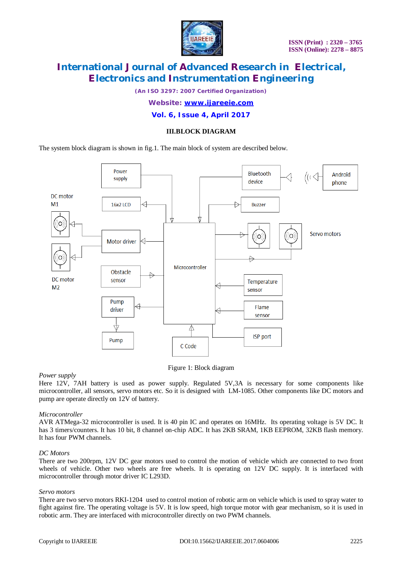

*(An ISO 3297: 2007 Certified Organization)*

#### *Website: [www.ijareeie.com](http://www.ijareeie.com)*

### **Vol. 6, Issue 4, April 2017**

### **III.BLOCK DIAGRAM**

The system block diagram is shown in fig.1. The main block of system are described below.



Figure 1: Block diagram

#### *Power supply*

Here 12V, 7AH battery is used as power supply. Regulated 5V,3A is necessary for some components like microcontroller, all sensors, servo motors etc. So it is designed with LM-1085. Other components like DC motors and pump are operate directly on 12V of battery.

#### *Microcontroller*

AVR ATMega-32 microcontroller is used. It is 40 pin IC and operates on 16MHz. Its operating voltage is 5V DC. It has 3 timers/counters. It has 10 bit, 8 channel on-chip ADC. It has 2KB SRAM, 1KB EEPROM, 32KB flash memory. It has four PWM channels.

#### *DC Motors*

There are two 200rpm, 12V DC gear motors used to control the motion of vehicle which are connected to two front wheels of vehicle. Other two wheels are free wheels. It is operating on 12V DC supply. It is interfaced with microcontroller through motor driver IC L293D.

#### *Servo motors*

There are two servo motors RKI-1204 used to control motion of robotic arm on vehicle which is used to spray water to fight against fire. The operating voltage is 5V. It is low speed, high torque motor with gear mechanism, so it is used in robotic arm. They are interfaced with microcontroller directly on two PWM channels.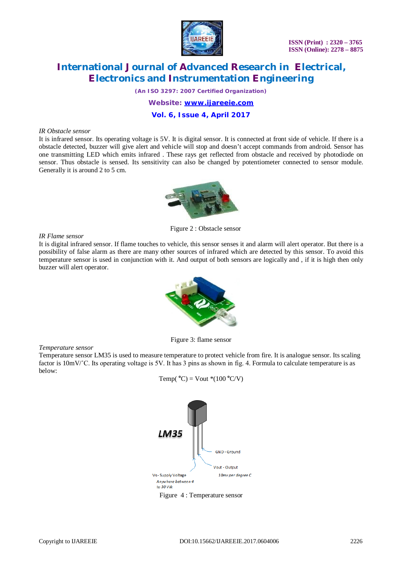

*(An ISO 3297: 2007 Certified Organization)*

*Website: [www.ijareeie.com](http://www.ijareeie.com)*

### **Vol. 6, Issue 4, April 2017**

#### *IR Obstacle sensor*

It is infrared sensor. Its operating voltage is 5V. It is digital sensor. It is connected at front side of vehicle. If there is a obstacle detected, buzzer will give alert and vehicle will stop and doesn't accept commands from android. Sensor has one transmitting LED which emits infrared . These rays get reflected from obstacle and received by photodiode on sensor. Thus obstacle is sensed. Its sensitivity can also be changed by potentiometer connected to sensor module. Generally it is around 2 to 5 cm.



Figure 2 : Obstacle sensor

#### *IR Flame sensor*

It is digital infrared sensor. If flame touches to vehicle, this sensor senses it and alarm will alert operator. But there is a possibility of false alarm as there are many other sources of infrared which are detected by this sensor. To avoid this temperature sensor is used in conjunction with it. And output of both sensors are logically and , if it is high then only buzzer will alert operator.



Figure 3: flame sensor

*Temperature sensor*

Temperature sensor LM35 is used to measure temperature to protect vehicle from fire. It is analogue sensor. Its scaling factor is  $10 \text{mV}$ °C. Its operating voltage is 5V. It has 3 pins as shown in fig. 4. Formula to calculate temperature is as below:



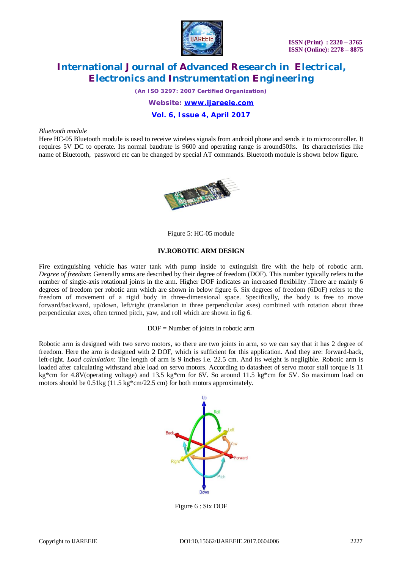

*(An ISO 3297: 2007 Certified Organization)*

*Website: [www.ijareeie.com](http://www.ijareeie.com)*

### **Vol. 6, Issue 4, April 2017**

#### *Bluetooth module*

Here HC-05 Bluetooth module is used to receive wireless signals from android phone and sends it to microcontroller. It requires 5V DC to operate. Its normal baudrate is 9600 and operating range is around50fts. Its characteristics like name of Bluetooth, password etc can be changed by special AT commands. Bluetooth module is shown below figure.



Figure 5: HC-05 module

#### **IV.ROBOTIC ARM DESIGN**

Fire extinguishing vehicle has water tank with pump inside to extinguish fire with the help of robotic arm. *Degree of freedom*: Generally arms are described by their degree of freedom (DOF). This number typically refers to the number of single-axis rotational joints in the arm. Higher DOF indicates an increased flexibility .There are mainly 6 degrees of freedom per robotic arm which are shown in below figure 6. Six degrees of freedom (6DoF) refers to the freedom of movement of a rigid body in three-dimensional space. Specifically, the body is free to move forward/backward, up/down, left/right (translation in three perpendicular axes) combined with rotation about three perpendicular axes, often termed pitch, yaw, and roll which are shown in fig 6.

DOF = Number of joints in robotic arm

Robotic arm is designed with two servo motors, so there are two joints in arm, so we can say that it has 2 degree of freedom. Here the arm is designed with 2 DOF, which is sufficient for this application. And they are: forward-back, left-right. *Load calculation*: The length of arm is 9 inches i.e. 22.5 cm. And its weight is negligible. Robotic arm is loaded after calculating withstand able load on servo motors. According to datasheet of servo motor stall torque is 11 kg\*cm for 4.8V(operating voltage) and 13.5 kg\*cm for 6V. So around 11.5 kg\*cm for 5V. So maximum load on motors should be 0.51kg (11.5 kg\*cm/22.5 cm) for both motors approximately.



Figure 6 : Six DOF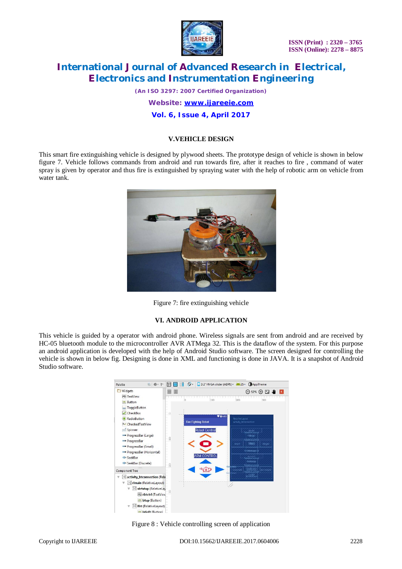

 **ISSN (Print) : 2320 – 3765 ISSN (Online): 2278 – 8875**

# **International Journal of Advanced Research in Electrical, Electronics and Instrumentation Engineering**

*(An ISO 3297: 2007 Certified Organization)*

*Website: [www.ijareeie.com](http://www.ijareeie.com)*

**Vol. 6, Issue 4, April 2017**

### **V.VEHICLE DESIGN**

This smart fire extinguishing vehicle is designed by plywood sheets. The prototype design of vehicle is shown in below figure 7. Vehicle follows commands from android and run towards fire, after it reaches to fire , command of water spray is given by operator and thus fire is extinguished by spraying water with the help of robotic arm on vehicle from water tank.



Figure 7: fire extinguishing vehicle

#### **VI. ANDROID APPLICATION**

This vehicle is guided by a operator with android phone. Wireless signals are sent from android and are received by HC-05 bluetooth module to the microcontroller AVR ATMega 32. This is the dataflow of the system. For this purpose an android application is developed with the help of Android Studio software. The screen designed for controlling the vehicle is shown in below fig. Designing is done in XML and functioning is done in JAVA. It is a snapshot of Android Studio software.



Figure 8 : Vehicle controlling screen of application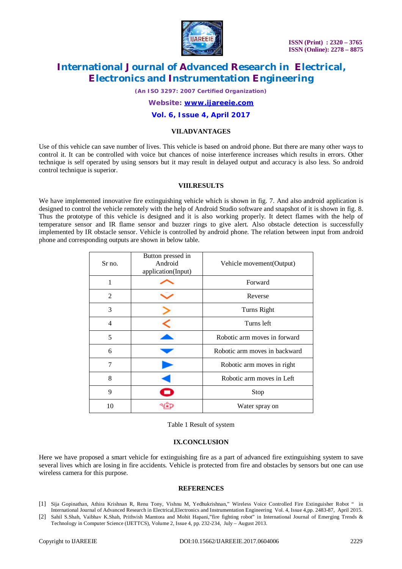

*(An ISO 3297: 2007 Certified Organization)*

*Website: [www.ijareeie.com](http://www.ijareeie.com)*

#### **Vol. 6, Issue 4, April 2017**

#### **VII.ADVANTAGES**

Use of this vehicle can save number of lives. This vehicle is based on android phone. But there are many other ways to control it. It can be controlled with voice but chances of noise interference increases which results in errors. Other technique is self operated by using sensors but it may result in delayed output and accuracy is also less. So android control technique is superior.

#### **VIII.RESULTS**

We have implemented innovative fire extinguishing vehicle which is shown in fig. 7. And also android application is designed to control the vehicle remotely with the help of Android Studio software and snapshot of it is shown in fig. 8. Thus the prototype of this vehicle is designed and it is also working properly. It detect flames with the help of temperature sensor and IR flame sensor and buzzer rings to give alert. Also obstacle detection is successfully implemented by IR obstacle sensor. Vehicle is controlled by android phone. The relation between input from android phone and corresponding outputs are shown in below table.

| Sr no.         | Button pressed in<br>Android<br>application(Input) | Vehicle movement (Output)     |
|----------------|----------------------------------------------------|-------------------------------|
| 1              |                                                    | Forward                       |
| $\overline{2}$ |                                                    | Reverse                       |
| 3              |                                                    | Turns Right                   |
| $\overline{4}$ |                                                    | Turns left                    |
| 5              |                                                    | Robotic arm moves in forward  |
| 6              |                                                    | Robotic arm moves in backward |
| 7              |                                                    | Robotic arm moves in right    |
| 8              |                                                    | Robotic arm moves in Left     |
| 9              |                                                    | Stop                          |
| 10             |                                                    | Water spray on                |

Table 1 Result of system

#### **IX.CONCLUSION**

Here we have proposed a smart vehicle for extinguishing fire as a part of advanced fire extinguishing system to save several lives which are losing in fire accidents. Vehicle is protected from fire and obstacles by sensors but one can use wireless camera for this purpose.

#### **REFERENCES**

- [1] Sija Gopinathan, Athira Krishnan R, Renu Tony, Vishnu M, Yedhukrishnan," Wireless Voice Controlled Fire Extinguisher Robot " in International Journal of Advanced Research in Electrical,Electronics and Instrumentation EngineeringVol. 4, Issue 4,pp. 2483-87, April 2015.
- [2] Sahil S.Shah, Vaibhav K.Shah, Prithvish Mamtora and Mohit Hapani,"fire fighting robot" in International Journal of Emerging Trends & Technology in Computer Science (IJETTCS)*,* Volume 2, Issue 4, pp. 232-234, July – August 2013.